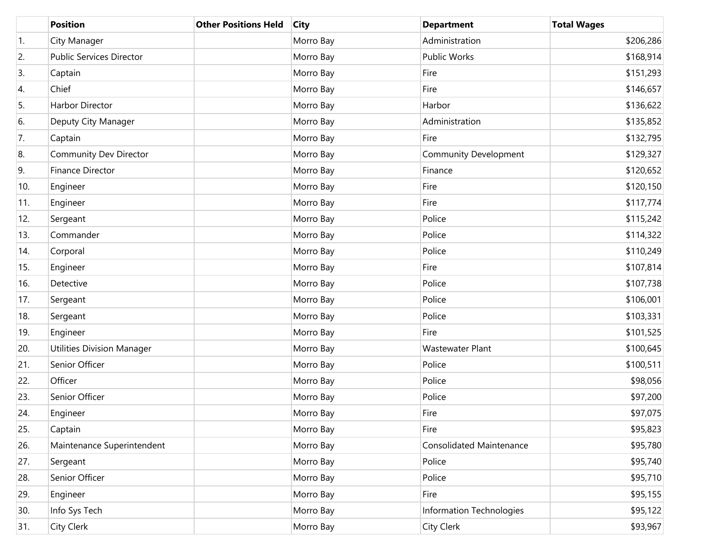|                  | <b>Position</b>                   | <b>Other Positions Held</b> | <b>City</b> | <b>Department</b>               | <b>Total Wages</b> |
|------------------|-----------------------------------|-----------------------------|-------------|---------------------------------|--------------------|
| $\overline{1}$ . | City Manager                      |                             | Morro Bay   | Administration                  | \$206,286          |
| 2.               | <b>Public Services Director</b>   |                             | Morro Bay   | <b>Public Works</b>             | \$168,914          |
| 3.               | Captain                           |                             | Morro Bay   | Fire                            | \$151,293          |
| 4.               | Chief                             |                             | Morro Bay   | Fire                            | \$146,657          |
| 5.               | <b>Harbor Director</b>            |                             | Morro Bay   | Harbor                          | \$136,622          |
| 6.               | Deputy City Manager               |                             | Morro Bay   | Administration                  | \$135,852          |
| 7.               | Captain                           |                             | Morro Bay   | Fire                            | \$132,795          |
| 8.               | <b>Community Dev Director</b>     |                             | Morro Bay   | <b>Community Development</b>    | \$129,327          |
| 9.               | <b>Finance Director</b>           |                             | Morro Bay   | Finance                         | \$120,652          |
| 10.              | Engineer                          |                             | Morro Bay   | Fire                            | \$120,150          |
| 11.              | Engineer                          |                             | Morro Bay   | Fire                            | \$117,774          |
| 12.              | Sergeant                          |                             | Morro Bay   | Police                          | \$115,242          |
| 13.              | Commander                         |                             | Morro Bay   | Police                          | \$114,322          |
| 14.              | Corporal                          |                             | Morro Bay   | Police                          | \$110,249          |
| 15.              | Engineer                          |                             | Morro Bay   | Fire                            | \$107,814          |
| 16.              | Detective                         |                             | Morro Bay   | Police                          | \$107,738          |
| 17.              | Sergeant                          |                             | Morro Bay   | Police                          | \$106,001          |
| 18.              | Sergeant                          |                             | Morro Bay   | Police                          | \$103,331          |
| 19.              | Engineer                          |                             | Morro Bay   | Fire                            | \$101,525          |
| 20.              | <b>Utilities Division Manager</b> |                             | Morro Bay   | Wastewater Plant                | \$100,645          |
| 21.              | Senior Officer                    |                             | Morro Bay   | Police                          | \$100,511          |
| 22.              | Officer                           |                             | Morro Bay   | Police                          | \$98,056           |
| 23.              | Senior Officer                    |                             | Morro Bay   | Police                          | \$97,200           |
| 24.              | Engineer                          |                             | Morro Bay   | Fire                            | \$97,075           |
| 25.              | Captain                           |                             | Morro Bay   | Fire                            | \$95,823           |
| 26.              | Maintenance Superintendent        |                             | Morro Bay   | <b>Consolidated Maintenance</b> | \$95,780           |
| 27.              | Sergeant                          |                             | Morro Bay   | Police                          | \$95,740           |
| 28.              | Senior Officer                    |                             | Morro Bay   | Police                          | \$95,710           |
| 29.              | Engineer                          |                             | Morro Bay   | Fire                            | \$95,155           |
| 30.              | Info Sys Tech                     |                             | Morro Bay   | Information Technologies        | \$95,122           |
| 31.              | City Clerk                        |                             | Morro Bay   | City Clerk                      | \$93,967           |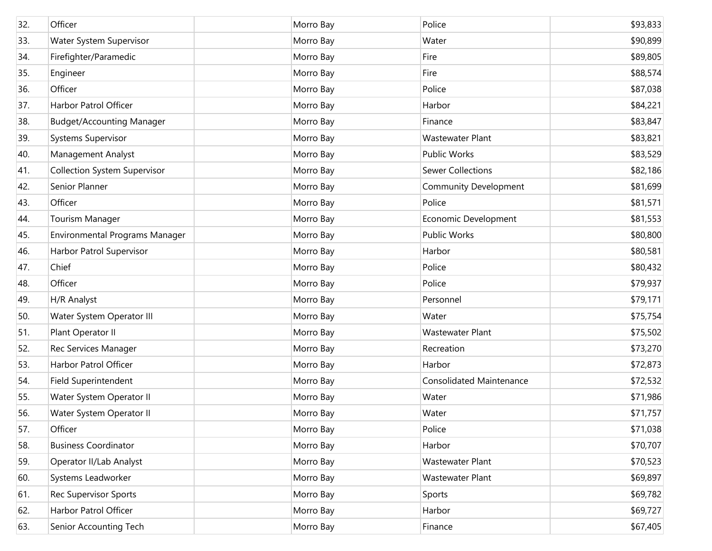| 32. | Officer                             | Morro Bay | Police                          | \$93,833 |
|-----|-------------------------------------|-----------|---------------------------------|----------|
| 33. | Water System Supervisor             | Morro Bay | Water                           | \$90,899 |
| 34. | Firefighter/Paramedic               | Morro Bay | Fire                            | \$89,805 |
| 35. | Engineer                            | Morro Bay | Fire                            | \$88,574 |
| 36. | Officer                             | Morro Bay | Police                          | \$87,038 |
| 37. | Harbor Patrol Officer               | Morro Bay | Harbor                          | \$84,221 |
| 38. | <b>Budget/Accounting Manager</b>    | Morro Bay | Finance                         | \$83,847 |
| 39. | Systems Supervisor                  | Morro Bay | Wastewater Plant                | \$83,821 |
| 40. | Management Analyst                  | Morro Bay | Public Works                    | \$83,529 |
| 41. | <b>Collection System Supervisor</b> | Morro Bay | <b>Sewer Collections</b>        | \$82,186 |
| 42. | Senior Planner                      | Morro Bay | <b>Community Development</b>    | \$81,699 |
| 43. | Officer                             | Morro Bay | Police                          | \$81,571 |
| 44. | <b>Tourism Manager</b>              | Morro Bay | Economic Development            | \$81,553 |
| 45. | Environmental Programs Manager      | Morro Bay | <b>Public Works</b>             | \$80,800 |
| 46. | Harbor Patrol Supervisor            | Morro Bay | Harbor                          | \$80,581 |
| 47. | Chief                               | Morro Bay | Police                          | \$80,432 |
| 48. | Officer                             | Morro Bay | Police                          | \$79,937 |
| 49. | H/R Analyst                         | Morro Bay | Personnel                       | \$79,171 |
| 50. | Water System Operator III           | Morro Bay | Water                           | \$75,754 |
| 51. | Plant Operator II                   | Morro Bay | <b>Wastewater Plant</b>         | \$75,502 |
| 52. | Rec Services Manager                | Morro Bay | Recreation                      | \$73,270 |
| 53. | Harbor Patrol Officer               | Morro Bay | Harbor                          | \$72,873 |
| 54. | Field Superintendent                | Morro Bay | <b>Consolidated Maintenance</b> | \$72,532 |
| 55. | Water System Operator II            | Morro Bay | Water                           | \$71,986 |
| 56. | Water System Operator II            | Morro Bay | Water                           | \$71,757 |
| 57. | Officer                             | Morro Bay | Police                          | \$71,038 |
| 58. | <b>Business Coordinator</b>         | Morro Bay | Harbor                          | \$70,707 |
| 59. | Operator II/Lab Analyst             | Morro Bay | Wastewater Plant                | \$70,523 |
| 60. | Systems Leadworker                  | Morro Bay | Wastewater Plant                | \$69,897 |
| 61. | <b>Rec Supervisor Sports</b>        | Morro Bay | Sports                          | \$69,782 |
| 62. | Harbor Patrol Officer               | Morro Bay | Harbor                          | \$69,727 |
| 63. | Senior Accounting Tech              | Morro Bay | Finance                         | \$67,405 |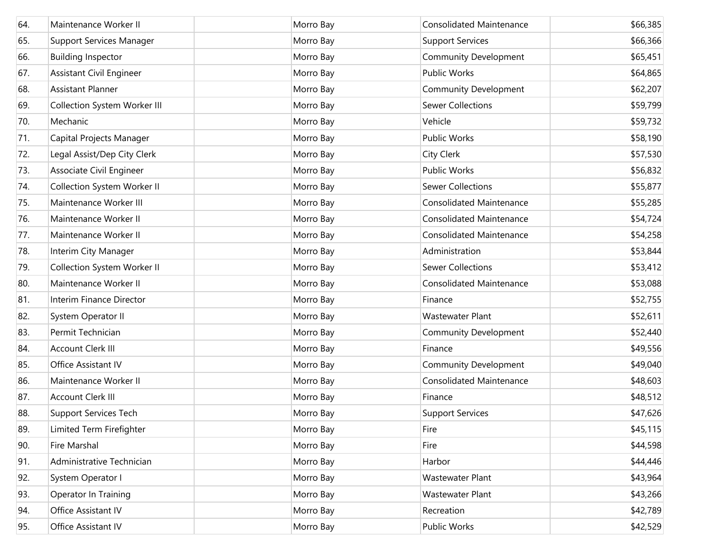| 64. | Maintenance Worker II           | Morro Bay | <b>Consolidated Maintenance</b> | \$66,385 |
|-----|---------------------------------|-----------|---------------------------------|----------|
| 65. | Support Services Manager        | Morro Bay | <b>Support Services</b>         | \$66,366 |
| 66. | <b>Building Inspector</b>       | Morro Bay | <b>Community Development</b>    | \$65,451 |
| 67. | <b>Assistant Civil Engineer</b> | Morro Bay | Public Works                    | \$64,865 |
| 68. | <b>Assistant Planner</b>        | Morro Bay | Community Development           | \$62,207 |
| 69. | Collection System Worker III    | Morro Bay | <b>Sewer Collections</b>        | \$59,799 |
| 70. | Mechanic                        | Morro Bay | Vehicle                         | \$59,732 |
| 71. | Capital Projects Manager        | Morro Bay | Public Works                    | \$58,190 |
| 72. | Legal Assist/Dep City Clerk     | Morro Bay | <b>City Clerk</b>               | \$57,530 |
| 73. | Associate Civil Engineer        | Morro Bay | Public Works                    | \$56,832 |
| 74. | Collection System Worker II     | Morro Bay | <b>Sewer Collections</b>        | \$55,877 |
| 75. | Maintenance Worker III          | Morro Bay | <b>Consolidated Maintenance</b> | \$55,285 |
| 76. | Maintenance Worker II           | Morro Bay | <b>Consolidated Maintenance</b> | \$54,724 |
| 77. | Maintenance Worker II           | Morro Bay | <b>Consolidated Maintenance</b> | \$54,258 |
| 78. | Interim City Manager            | Morro Bay | Administration                  | \$53,844 |
| 79. | Collection System Worker II     | Morro Bay | <b>Sewer Collections</b>        | \$53,412 |
| 80. | Maintenance Worker II           | Morro Bay | <b>Consolidated Maintenance</b> | \$53,088 |
| 81. | Interim Finance Director        | Morro Bay | Finance                         | \$52,755 |
| 82. | System Operator II              | Morro Bay | Wastewater Plant                | \$52,611 |
| 83. | Permit Technician               | Morro Bay | <b>Community Development</b>    | \$52,440 |
| 84. | Account Clerk III               | Morro Bay | Finance                         | \$49,556 |
| 85. | Office Assistant IV             | Morro Bay | <b>Community Development</b>    | \$49,040 |
| 86. | Maintenance Worker II           | Morro Bay | <b>Consolidated Maintenance</b> | \$48,603 |
| 87. | Account Clerk III               | Morro Bay | Finance                         | \$48,512 |
| 88. | <b>Support Services Tech</b>    | Morro Bay | <b>Support Services</b>         | \$47,626 |
| 89. | Limited Term Firefighter        | Morro Bay | Fire                            | \$45,115 |
| 90. | Fire Marshal                    | Morro Bay | Fire                            | \$44,598 |
| 91. | Administrative Technician       | Morro Bay | Harbor                          | \$44,446 |
| 92. | System Operator I               | Morro Bay | Wastewater Plant                | \$43,964 |
| 93. | Operator In Training            | Morro Bay | Wastewater Plant                | \$43,266 |
| 94. | Office Assistant IV             | Morro Bay | Recreation                      | \$42,789 |
| 95. | Office Assistant IV             | Morro Bay | Public Works                    | \$42,529 |